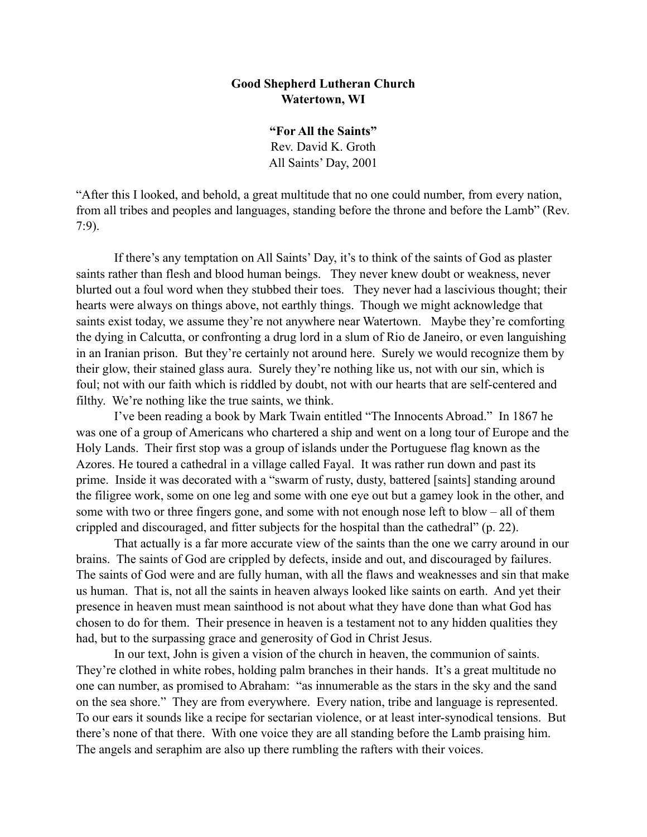## **Good Shepherd Lutheran Church Watertown, WI**

**"For All the Saints"** Rev. David K. Groth All Saints' Day, 2001

"After this I looked, and behold, a great multitude that no one could number, from every nation, from all tribes and peoples and languages, standing before the throne and before the Lamb" (Rev. 7:9).

 If there's any temptation on All Saints' Day, it's to think of the saints of God as plaster saints rather than flesh and blood human beings. They never knew doubt or weakness, never blurted out a foul word when they stubbed their toes. They never had a lascivious thought; their hearts were always on things above, not earthly things. Though we might acknowledge that saints exist today, we assume they're not anywhere near Watertown. Maybe they're comforting the dying in Calcutta, or confronting a drug lord in a slum of Rio de Janeiro, or even languishing in an Iranian prison. But they're certainly not around here. Surely we would recognize them by their glow, their stained glass aura. Surely they're nothing like us, not with our sin, which is foul; not with our faith which is riddled by doubt, not with our hearts that are self-centered and filthy. We're nothing like the true saints, we think.

 I've been reading a book by Mark Twain entitled "The Innocents Abroad." In 1867 he was one of a group of Americans who chartered a ship and went on a long tour of Europe and the Holy Lands. Their first stop was a group of islands under the Portuguese flag known as the Azores. He toured a cathedral in a village called Fayal. It was rather run down and past its prime. Inside it was decorated with a "swarm of rusty, dusty, battered [saints] standing around the filigree work, some on one leg and some with one eye out but a gamey look in the other, and some with two or three fingers gone, and some with not enough nose left to blow – all of them crippled and discouraged, and fitter subjects for the hospital than the cathedral" (p. 22).

That actually is a far more accurate view of the saints than the one we carry around in our brains. The saints of God are crippled by defects, inside and out, and discouraged by failures. The saints of God were and are fully human, with all the flaws and weaknesses and sin that make us human. That is, not all the saints in heaven always looked like saints on earth. And yet their presence in heaven must mean sainthood is not about what they have done than what God has chosen to do for them. Their presence in heaven is a testament not to any hidden qualities they had, but to the surpassing grace and generosity of God in Christ Jesus.

 In our text, John is given a vision of the church in heaven, the communion of saints. They're clothed in white robes, holding palm branches in their hands. It's a great multitude no one can number, as promised to Abraham: "as innumerable as the stars in the sky and the sand on the sea shore." They are from everywhere. Every nation, tribe and language is represented. To our ears it sounds like a recipe for sectarian violence, or at least inter-synodical tensions. But there's none of that there. With one voice they are all standing before the Lamb praising him. The angels and seraphim are also up there rumbling the rafters with their voices.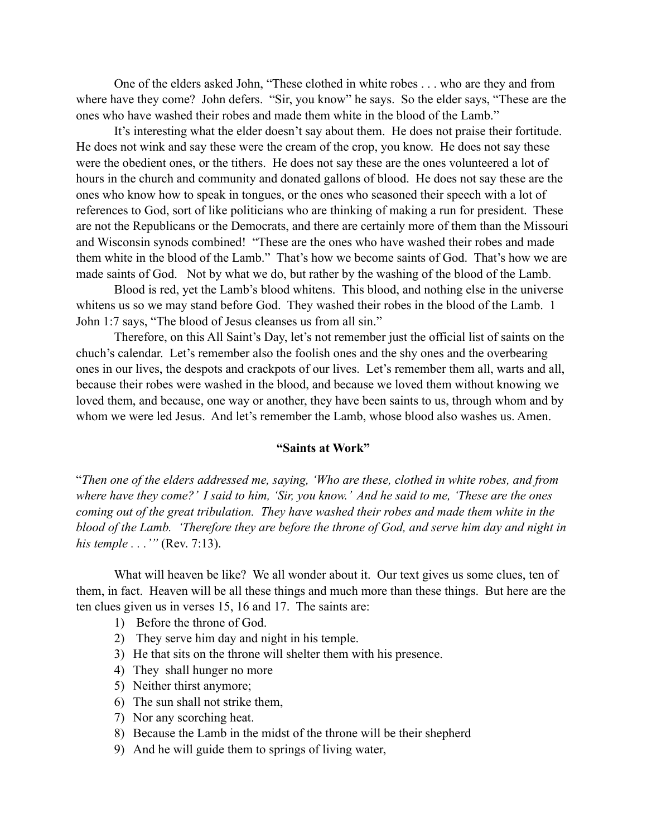One of the elders asked John, "These clothed in white robes . . . who are they and from where have they come? John defers. "Sir, you know" he says. So the elder says, "These are the ones who have washed their robes and made them white in the blood of the Lamb."

It's interesting what the elder doesn't say about them. He does not praise their fortitude. He does not wink and say these were the cream of the crop, you know. He does not say these were the obedient ones, or the tithers. He does not say these are the ones volunteered a lot of hours in the church and community and donated gallons of blood. He does not say these are the ones who know how to speak in tongues, or the ones who seasoned their speech with a lot of references to God, sort of like politicians who are thinking of making a run for president. These are not the Republicans or the Democrats, and there are certainly more of them than the Missouri and Wisconsin synods combined! "These are the ones who have washed their robes and made them white in the blood of the Lamb." That's how we become saints of God. That's how we are made saints of God. Not by what we do, but rather by the washing of the blood of the Lamb.

Blood is red, yet the Lamb's blood whitens. This blood, and nothing else in the universe whitens us so we may stand before God. They washed their robes in the blood of the Lamb. 1 John 1:7 says, "The blood of Jesus cleanses us from all sin."

Therefore, on this All Saint's Day, let's not remember just the official list of saints on the chuch's calendar. Let's remember also the foolish ones and the shy ones and the overbearing ones in our lives, the despots and crackpots of our lives. Let's remember them all, warts and all, because their robes were washed in the blood, and because we loved them without knowing we loved them, and because, one way or another, they have been saints to us, through whom and by whom we were led Jesus. And let's remember the Lamb, whose blood also washes us. Amen.

## **"Saints at Work"**

"*Then one of the elders addressed me, saying, 'Who are these, clothed in white robes, and from where have they come?' I said to him, 'Sir, you know.' And he said to me, 'These are the ones coming out of the great tribulation. They have washed their robes and made them white in the blood of the Lamb. 'Therefore they are before the throne of God, and serve him day and night in his temple . . .'"* (Rev. 7:13).

What will heaven be like? We all wonder about it. Our text gives us some clues, ten of them, in fact. Heaven will be all these things and much more than these things. But here are the ten clues given us in verses 15, 16 and 17. The saints are:

- 1) Before the throne of God.
- 2) They serve him day and night in his temple.
- 3) He that sits on the throne will shelter them with his presence.
- 4) They shall hunger no more
- 5) Neither thirst anymore;
- 6) The sun shall not strike them,
- 7) Nor any scorching heat.
- 8) Because the Lamb in the midst of the throne will be their shepherd
- 9) And he will guide them to springs of living water,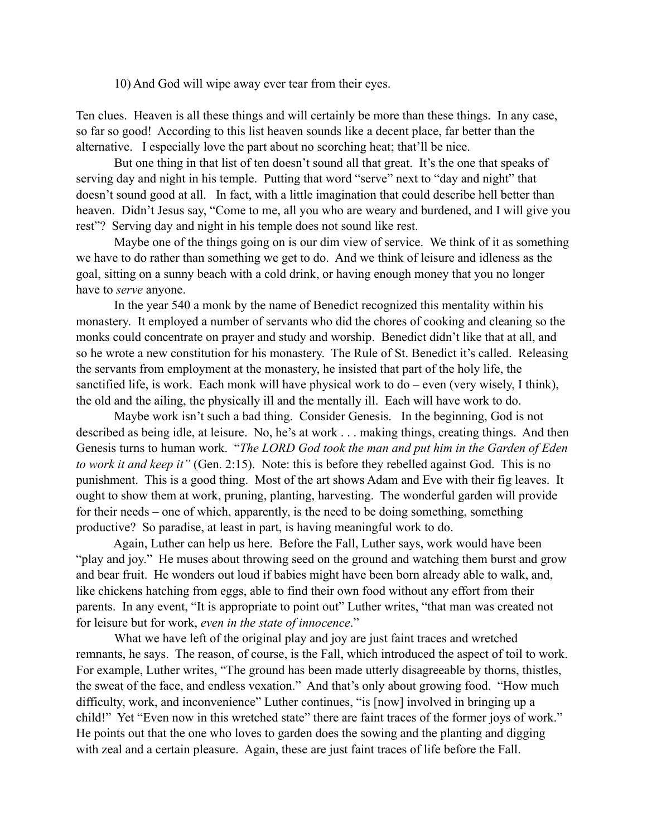10) And God will wipe away ever tear from their eyes.

Ten clues. Heaven is all these things and will certainly be more than these things. In any case, so far so good! According to this list heaven sounds like a decent place, far better than the alternative. I especially love the part about no scorching heat; that'll be nice.

But one thing in that list of ten doesn't sound all that great. It's the one that speaks of serving day and night in his temple. Putting that word "serve" next to "day and night" that doesn't sound good at all. In fact, with a little imagination that could describe hell better than heaven. Didn't Jesus say, "Come to me, all you who are weary and burdened, and I will give you rest"? Serving day and night in his temple does not sound like rest.

 Maybe one of the things going on is our dim view of service. We think of it as something we have to do rather than something we get to do. And we think of leisure and idleness as the goal, sitting on a sunny beach with a cold drink, or having enough money that you no longer have to *serve* anyone.

 In the year 540 a monk by the name of Benedict recognized this mentality within his monastery. It employed a number of servants who did the chores of cooking and cleaning so the monks could concentrate on prayer and study and worship. Benedict didn't like that at all, and so he wrote a new constitution for his monastery. The Rule of St. Benedict it's called. Releasing the servants from employment at the monastery, he insisted that part of the holy life, the sanctified life, is work. Each monk will have physical work to  $do - even$  (very wisely, I think), the old and the ailing, the physically ill and the mentally ill. Each will have work to do.

Maybe work isn't such a bad thing. Consider Genesis. In the beginning, God is not described as being idle, at leisure. No, he's at work . . . making things, creating things. And then Genesis turns to human work. "*The LORD God took the man and put him in the Garden of Eden to work it and keep it"* (Gen. 2:15). Note: this is before they rebelled against God. This is no punishment. This is a good thing. Most of the art shows Adam and Eve with their fig leaves. It ought to show them at work, pruning, planting, harvesting. The wonderful garden will provide for their needs – one of which, apparently, is the need to be doing something, something productive? So paradise, at least in part, is having meaningful work to do.

 Again, Luther can help us here. Before the Fall, Luther says, work would have been "play and joy." He muses about throwing seed on the ground and watching them burst and grow and bear fruit. He wonders out loud if babies might have been born already able to walk, and, like chickens hatching from eggs, able to find their own food without any effort from their parents. In any event, "It is appropriate to point out" Luther writes, "that man was created not for leisure but for work, *even in the state of innocence*."

What we have left of the original play and joy are just faint traces and wretched remnants, he says. The reason, of course, is the Fall, which introduced the aspect of toil to work. For example, Luther writes, "The ground has been made utterly disagreeable by thorns, thistles, the sweat of the face, and endless vexation." And that's only about growing food. "How much difficulty, work, and inconvenience" Luther continues, "is [now] involved in bringing up a child!" Yet "Even now in this wretched state" there are faint traces of the former joys of work." He points out that the one who loves to garden does the sowing and the planting and digging with zeal and a certain pleasure. Again, these are just faint traces of life before the Fall.